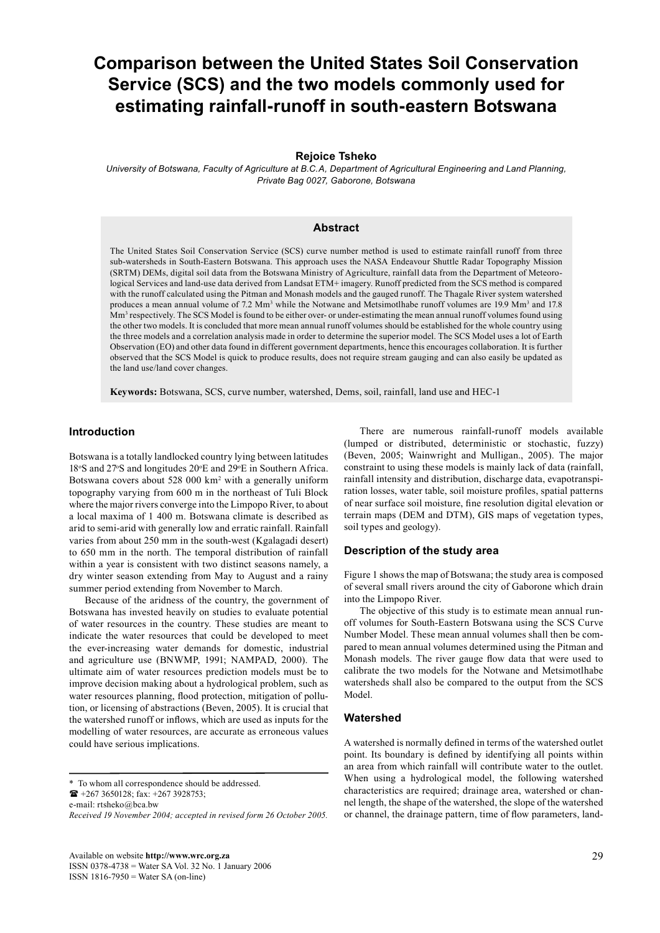# **Comparison between the United States Soil Conservation Service (SCS) and the two models commonly used for estimating rainfall-runoff in south-eastern Botswana**

#### **Rejoice Tsheko**

*University of Botswana, Faculty of Agriculture at B.C.A, Department of Agricultural Engineering and Land Planning, Private Bag 0027, Gaborone, Botswana*

## **Abstract**

The United States Soil Conservation Service (SCS) curve number method is used to estimate rainfall runoff from three sub-watersheds in South-Eastern Botswana. This approach uses the NASA Endeavour Shuttle Radar Topography Mission (SRTM) DEMs, digital soil data from the Botswana Ministry of Agriculture, rainfall data from the Department of Meteorological Services and land-use data derived from Landsat ETM+ imagery. Runoff predicted from the SCS method is compared with the runoff calculated using the Pitman and Monash models and the gauged runoff. The Thagale River system watershed produces a mean annual volume of 7.2 Mm<sup>3</sup> while the Notwane and Metsimotlhabe runoff volumes are 19.9 Mm<sup>3</sup> and 17.8 Mm<sup>3</sup> respectively. The SCS Model is found to be either over- or under-estimating the mean annual runoff volumes found using the other two models. It is concluded that more mean annual runoff volumes should be established for the whole country using the three models and a correlation analysis made in order to determine the superior model. The SCS Model uses a lot of Earth Observation (EO) and other data found in different government departments, hence this encourages collaboration. It is further observed that the SCS Model is quick to produce results, does not require stream gauging and can also easily be updated as the land use/land cover changes.

**Keywords:** Botswana, SCS, curve number, watershed, Dems, soil, rainfall, land use and HEC-1

#### **Introduction**

Botswana is a totally landlocked country lying between latitudes 18°S and 27°S and longitudes 20°E and 29°E in Southern Africa. Botswana covers about 528 000 km<sup>2</sup> with a generally uniform topography varying from 600 m in the northeast of Tuli Block where the major rivers converge into the Limpopo River, to about a local maxima of 1 400 m. Botswana climate is described as arid to semi-arid with generally low and erratic rainfall. Rainfall varies from about 250 mm in the south-west (Kgalagadi desert) to 650 mm in the north. The temporal distribution of rainfall within a year is consistent with two distinct seasons namely, a dry winter season extending from May to August and a rainy summer period extending from November to March.

 Because of the aridness of the country, the government of Botswana has invested heavily on studies to evaluate potential of water resources in the country. These studies are meant to indicate the water resources that could be developed to meet the ever-increasing water demands for domestic, industrial and agriculture use (BNWMP, 1991; NAMPAD, 2000). The ultimate aim of water resources prediction models must be to improve decision making about a hydrological problem, such as water resources planning, flood protection, mitigation of pollution, or licensing of abstractions (Beven, 2005). It is crucial that the watershed runoff or inflows, which are used as inputs for the modelling of water resources, are accurate as erroneous values could have serious implications.

 $\bullet$  +267 3650128; fax: +267 3928753;

e-mail: rtsheko@bca.bw

 There are numerous rainfall-runoff models available (lumped or distributed, deterministic or stochastic, fuzzy) (Beven, 2005; Wainwright and Mulligan., 2005). The major constraint to using these models is mainly lack of data (rainfall, rainfall intensity and distribution, discharge data, evapotranspiration losses, water table, soil moisture profiles, spatial patterns of near surface soil moisture, fine resolution digital elevation or terrain maps (DEM and DTM), GIS maps of vegetation types, soil types and geology).

## **Description of the study area**

Figure 1 shows the map of Botswana; the study area is composed of several small rivers around the city of Gaborone which drain into the Limpopo River.

 The objective of this study is to estimate mean annual runoff volumes for South-Eastern Botswana using the SCS Curve Number Model. These mean annual volumes shall then be compared to mean annual volumes determined using the Pitman and Monash models. The river gauge flow data that were used to calibrate the two models for the Notwane and Metsimotlhabe watersheds shall also be compared to the output from the SCS Model.

#### **Watershed**

A watershed is normally defined in terms of the watershed outlet point. Its boundary is defined by identifying all points within an area from which rainfall will contribute water to the outlet. When using a hydrological model, the following watershed characteristics are required; drainage area, watershed or channel length, the shape of the watershed, the slope of the watershed or channel, the drainage pattern, time of flow parameters, land-

<sup>\*</sup> To whom all correspondence should be addressed.

*Received 19 November 2004; accepted in revised form 26 October 2005.*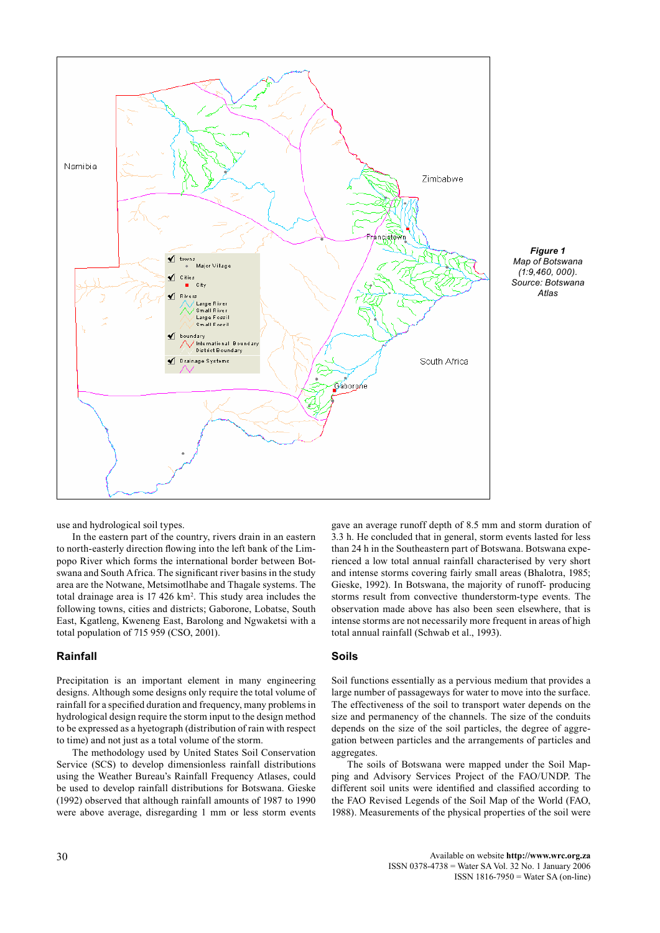

*Figure 1 Map of Botswana (1:9,460, 000). Source: Botswana Atlas*

use and hydrological soil types.

 In the eastern part of the country, rivers drain in an eastern to north-easterly direction flowing into the left bank of the Limpopo River which forms the international border between Botswana and South Africa. The significant river basins in the study area are the Notwane, Metsimotlhabe and Thagale systems. The total drainage area is 17 426 km<sup>2</sup>. This study area includes the following towns, cities and districts; Gaborone, Lobatse, South East, Kgatleng, Kweneng East, Barolong and Ngwaketsi with a total population of 715 959 (CSO, 2001).

#### **Rainfall**

Precipitation is an important element in many engineering designs. Although some designs only require the total volume of rainfall for a specified duration and frequency, many problems in hydrological design require the storm input to the design method to be expressed as a hyetograph (distribution of rain with respect to time) and not just as a total volume of the storm.

 The methodology used by United States Soil Conservation Service (SCS) to develop dimensionless rainfall distributions using the Weather Bureau's Rainfall Frequency Atlases, could be used to develop rainfall distributions for Botswana. Gieske (1992) observed that although rainfall amounts of 1987 to 1990 were above average, disregarding 1 mm or less storm events gave an average runoff depth of 8.5 mm and storm duration of 3.3 h. He concluded that in general, storm events lasted for less than 24 h in the Southeastern part of Botswana. Botswana experienced a low total annual rainfall characterised by very short and intense storms covering fairly small areas (Bhalotra, 1985; Gieske, 1992). In Botswana, the majority of runoff- producing storms result from convective thunderstorm-type events. The observation made above has also been seen elsewhere, that is intense storms are not necessarily more frequent in areas of high total annual rainfall (Schwab et al., 1993).

# **Soils**

Soil functions essentially as a pervious medium that provides a large number of passageways for water to move into the surface. The effectiveness of the soil to transport water depends on the size and permanency of the channels. The size of the conduits depends on the size of the soil particles, the degree of aggregation between particles and the arrangements of particles and aggregates.

 The soils of Botswana were mapped under the Soil Mapping and Advisory Services Project of the FAO/UNDP. The different soil units were identified and classified according to the FAO Revised Legends of the Soil Map of the World (FAO, 1988). Measurements of the physical properties of the soil were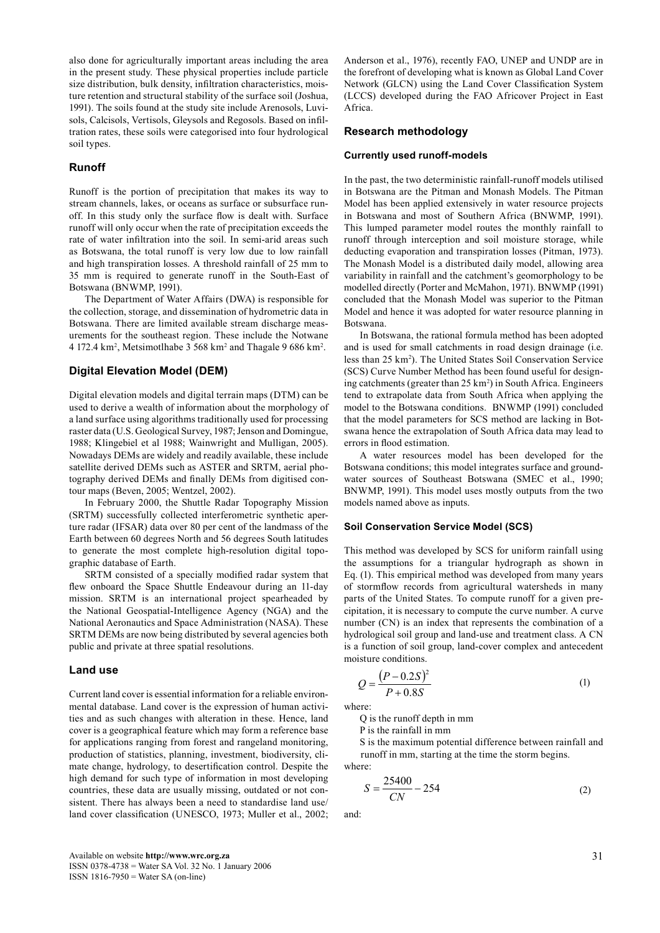also done for agriculturally important areas including the area in the present study. These physical properties include particle size distribution, bulk density, infiltration characteristics, moisture retention and structural stability of the surface soil (Joshua, 1991). The soils found at the study site include Arenosols, Luvisols, Calcisols, Vertisols, Gleysols and Regosols. Based on infiltration rates, these soils were categorised into four hydrological soil types.

# **Runoff**

Runoff is the portion of precipitation that makes its way to stream channels, lakes, or oceans as surface or subsurface runoff. In this study only the surface flow is dealt with. Surface runoff will only occur when the rate of precipitation exceeds the rate of water infiltration into the soil. In semi-arid areas such as Botswana, the total runoff is very low due to low rainfall and high transpiration losses. A threshold rainfall of 25 mm to 35 mm is required to generate runoff in the South-East of Botswana (BNWMP, 1991).

 The Department of Water Affairs (DWA) is responsible for the collection, storage, and dissemination of hydrometric data in Botswana. There are limited available stream discharge measurements for the southeast region. These include the Notwane 4 172.4  $\rm km^2$ , Metsimotlhabe 3 568  $\rm km^2$  and Thagale 9 686  $\rm km^2$ .

## **Digital Elevation Model (DEM)**

Digital elevation models and digital terrain maps (DTM) can be used to derive a wealth of information about the morphology of a land surface using algorithms traditionally used for processing raster data (U.S. Geological Survey, 1987; Jenson and Domingue, 1988; Klingebiel et al 1988; Wainwright and Mulligan, 2005). Nowadays DEMs are widely and readily available, these include satellite derived DEMs such as ASTER and SRTM, aerial photography derived DEMs and finally DEMs from digitised contour maps (Beven, 2005; Wentzel, 2002).

 In February 2000, the Shuttle Radar Topography Mission (SRTM) successfully collected interferometric synthetic aperture radar (IFSAR) data over 80 per cent of the landmass of the Earth between 60 degrees North and 56 degrees South latitudes to generate the most complete high-resolution digital topographic database of Earth.

 SRTM consisted of a specially modified radar system that flew onboard the Space Shuttle Endeavour during an 11-day mission. SRTM is an international project spearheaded by the National Geospatial-Intelligence Agency (NGA) and the National Aeronautics and Space Administration (NASA). These SRTM DEMs are now being distributed by several agencies both public and private at three spatial resolutions.

#### **Land use**

Current land cover is essential information for a reliable environmental database. Land cover is the expression of human activities and as such changes with alteration in these. Hence, land cover is a geographical feature which may form a reference base for applications ranging from forest and rangeland monitoring, production of statistics, planning, investment, biodiversity, climate change, hydrology, to desertification control. Despite the high demand for such type of information in most developing countries, these data are usually missing, outdated or not consistent. There has always been a need to standardise land use/ land cover classification (UNESCO, 1973; Muller et al., 2002; Anderson et al., 1976), recently FAO, UNEP and UNDP are in the forefront of developing what is known as Global Land Cover Network (GLCN) using the Land Cover Classification System (LCCS) developed during the FAO Africover Project in East Africa.

## **Research methodology**

#### **Currently used runoff-models**

In the past, the two deterministic rainfall-runoff models utilised in Botswana are the Pitman and Monash Models. The Pitman Model has been applied extensively in water resource projects in Botswana and most of Southern Africa (BNWMP, 1991). This lumped parameter model routes the monthly rainfall to runoff through interception and soil moisture storage, while deducting evaporation and transpiration losses (Pitman, 1973). The Monash Model is a distributed daily model, allowing area variability in rainfall and the catchment's geomorphology to be modelled directly (Porter and McMahon, 1971). BNWMP (1991) concluded that the Monash Model was superior to the Pitman Model and hence it was adopted for water resource planning in Botswana.

 In Botswana, the rational formula method has been adopted and is used for small catchments in road design drainage (i.e. less than 25 km2 ). The United States Soil Conservation Service (SCS) Curve Number Method has been found useful for designing catchments (greater than 25 km<sup>2</sup>) in South Africa. Engineers tend to extrapolate data from South Africa when applying the model to the Botswana conditions. BNWMP (1991) concluded that the model parameters for SCS method are lacking in Botswana hence the extrapolation of South Africa data may lead to errors in flood estimation.

 A water resources model has been developed for the Botswana conditions; this model integrates surface and groundwater sources of Southeast Botswana (SMEC et al., 1990; BNWMP, 1991). This model uses mostly outputs from the two models named above as inputs.

#### **Soil Conservation Service Model (SCS)**

This method was developed by SCS for uniform rainfall using the assumptions for a triangular hydrograph as shown in Eq. (1). This empirical method was developed from many years of stormflow records from agricultural watersheds in many parts of the United States. To compute runoff for a given precipitation, it is necessary to compute the curve number. A curve number (CN) is an index that represents the combination of a hydrological soil group and land-use and treatment class. A CN is a function of soil group, land-cover complex and antecedent moisture conditions.

$$
Q = \frac{(P - 0.2S)^2}{P + 0.8S} \tag{1}
$$

where:

Q is the runoff depth in mm

P is the rainfall in mm

 S is the maximum potential difference between rainfall and runoff in mm, starting at the time the storm begins.

where:

$$
S = \frac{25400}{CN} - 254\tag{2}
$$

and: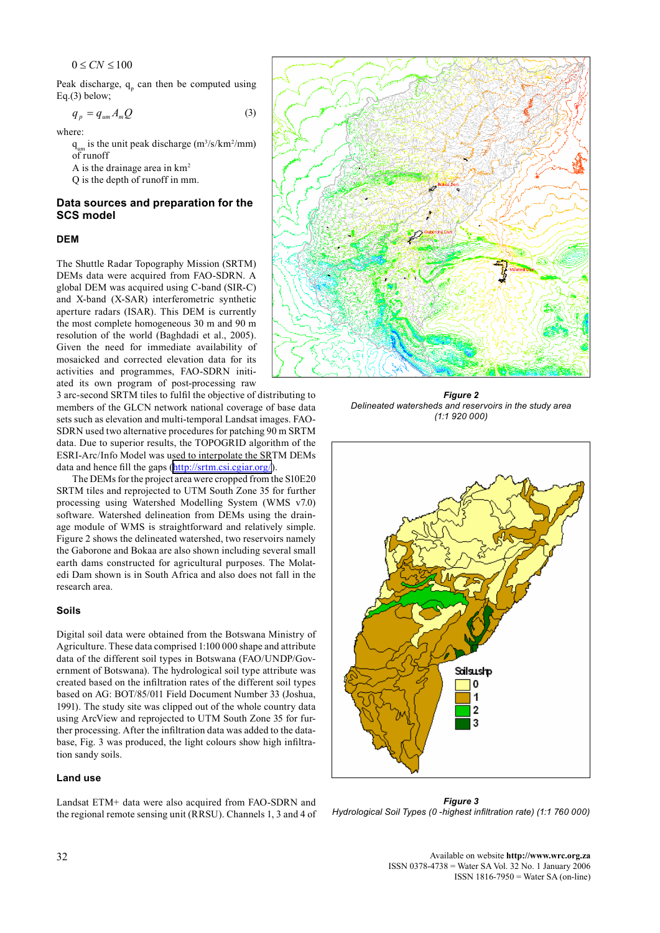$0 \leq C_N \leq 100$ 

Peak discharge,  $q_p$  can then be computed using Eq.(3) below;

$$
q_p = q_{um} A_m Q \tag{3}
$$

where:

 $q_{um}$  is the unit peak discharge (m<sup>3</sup>/s/km<sup>2</sup>/mm) of runoff

A is the drainage area in  $km<sup>2</sup>$ 

Q is the depth of runoff in mm.

# **Data sources and preparation for the SCS model**

## **DEM**

The Shuttle Radar Topography Mission (SRTM) DEMs data were acquired from FAO-SDRN. A global DEM was acquired using C-band (SIR-C) and X-band (X-SAR) interferometric synthetic aperture radars (ISAR). This DEM is currently the most complete homogeneous 30 m and 90 m resolution of the world (Baghdadi et al., 2005). Given the need for immediate availability of mosaicked and corrected elevation data for its activities and programmes, FAO-SDRN initiated its own program of post-processing raw

3 arc-second SRTM tiles to fulfil the objective of distributing to members of the GLCN network national coverage of base data sets such as elevation and multi-temporal Landsat images. FAO-SDRN used two alternative procedures for patching 90 m SRTM data. Due to superior results, the TOPOGRID algorithm of the ESRI-Arc/Info Model was used to interpolate the SRTM DEMs data and hence fill the gaps (<http://srtm.csi.cgiar.org/>).

 The DEMs for the project area were cropped from the S10E20 SRTM tiles and reprojected to UTM South Zone 35 for further processing using Watershed Modelling System (WMS v7.0) software. Watershed delineation from DEMs using the drainage module of WMS is straightforward and relatively simple. Figure 2 shows the delineated watershed, two reservoirs namely the Gaborone and Bokaa are also shown including several small earth dams constructed for agricultural purposes. The Molatedi Dam shown is in South Africa and also does not fall in the research area.

#### **Soils**

Digital soil data were obtained from the Botswana Ministry of Agriculture. These data comprised 1:100 000 shape and attribute data of the different soil types in Botswana (FAO/UNDP/Government of Botswana). The hydrological soil type attribute was created based on the infiltration rates of the different soil types based on AG: BOT/85/011 Field Document Number 33 (Joshua, 1991). The study site was clipped out of the whole country data using ArcView and reprojected to UTM South Zone 35 for further processing. After the infiltration data was added to the database, Fig. 3 was produced, the light colours show high infiltration sandy soils.

# **Land use**

Landsat ETM+ data were also acquired from FAO-SDRN and the regional remote sensing unit (RRSU). Channels 1, 3 and 4 of

*Figure 2 Delineated watersheds and reservoirs in the study area (1:1 920 000)*



*Figure 3 Hydrological Soil Types (0 -highest infiltration rate) (1:1 760 000)*

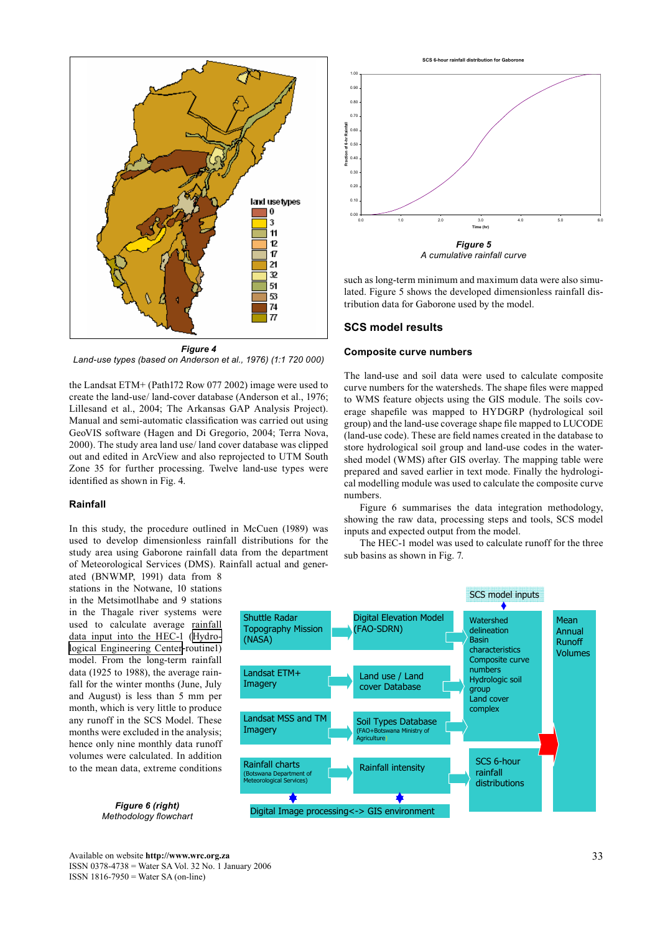

*Land-use types (based on Anderson et al., 1976) (1:1 720 000)*

the Landsat ETM+ (Path172 Row 077 2002) image were used to create the land-use/ land-cover database (Anderson et al., 1976; Lillesand et al., 2004; The Arkansas GAP Analysis Project). Manual and semi-automatic classification was carried out using GeoVIS software (Hagen and Di Gregorio, 2004; Terra Nova, 2000). The study area land use/ land cover database was clipped out and edited in ArcView and also reprojected to UTM South Zone 35 for further processing. Twelve land-use types were identified as shown in Fig. 4.

# **Rainfall**

In this study, the procedure outlined in McCuen (1989) was used to develop dimensionless rainfall distributions for the study area using Gaborone rainfall data from the department of Meteorological Services (DMS). Rainfall actual and gener-

ated (BNWMP, 1991) data from 8 stations in the Notwane, 10 stations in the Metsimotlhabe and 9 stations in the Thagale river systems were used to calculate average rainfall data input into the HEC-1 ([Hydro](http://www.hec.usace.army.mil/)[logical Engineering Center](http://www.hec.usace.army.mil/)-routine1) model. From the long-term rainfall data (1925 to 1988), the average rainfall for the winter months (June, July and August) is less than 5 mm per month, which is very little to produce any runoff in the SCS Model. These months were excluded in the analysis; hence only nine monthly data runoff volumes were calculated. In addition to the mean data, extreme conditions

> *Figure 6 (right) Methodology flowchart*

**SCS 6-hour rainfall distribution** 



*A cumulative rainfall curve*

such as long-term minimum and maximum data were also simulated. Figure 5 shows the developed dimensionless rainfall distribution data for Gaborone used by the model.

#### **SCS model results**

#### **Composite curve numbers**

The land-use and soil data were used to calculate composite curve numbers for the watersheds. The shape files were mapped to WMS feature objects using the GIS module. The soils coverage shapefile was mapped to HYDGRP (hydrological soil group) and the land-use coverage shape file mapped to LUCODE (land-use code). These are field names created in the database to store hydrological soil group and land-use codes in the watershed model (WMS) after GIS overlay. The mapping table were prepared and saved earlier in text mode. Finally the hydrological modelling module was used to calculate the composite curve numbers.

 Figure 6 summarises the data integration methodology, showing the raw data, processing steps and tools, SCS model inputs and expected output from the model.

 The HEC-1 model was used to calculate runoff for the three sub basins as shown in Fig. 7.

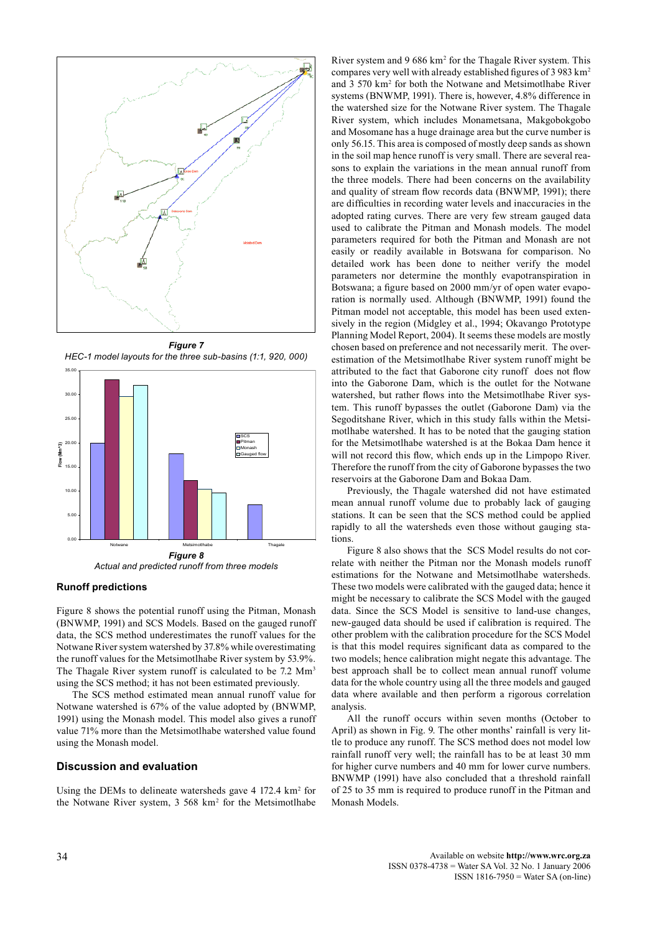

*Figure 7 HEC-1 model layouts for the three sub-basins (1:1, 920, 000)*



*Actual and predicted runoff from three models*

## **Runoff predictions**

Figure 8 shows the potential runoff using the Pitman, Monash (BNWMP, 1991) and SCS Models. Based on the gauged runoff data, the SCS method underestimates the runoff values for the Notwane River system watershed by 37.8% while overestimating the runoff values for the Metsimotlhabe River system by 53.9%. The Thagale River system runoff is calculated to be 7.2 Mm<sup>3</sup> using the SCS method; it has not been estimated previously.

 The SCS method estimated mean annual runoff value for Notwane watershed is 67% of the value adopted by (BNWMP, 1991) using the Monash model. This model also gives a runoff value 71% more than the Metsimotlhabe watershed value found using the Monash model.

#### **Discussion and evaluation**

Using the DEMs to delineate watersheds gave  $4\,172.4\ \mathrm{km^2}$  for the Notwane River system, 3 568 km2 for the Metsimotlhabe

River system and 9 686 km<sup>2</sup> for the Thagale River system. This compares very well with already established figures of 3 983 km2 and 3 570 km2 for both the Notwane and Metsimotlhabe River systems (BNWMP, 1991). There is, however, 4.8% difference in the watershed size for the Notwane River system. The Thagale River system, which includes Monametsana, Makgobokgobo and Mosomane has a huge drainage area but the curve number is only 56.15. This area is composed of mostly deep sands as shown in the soil map hence runoff is very small. There are several reasons to explain the variations in the mean annual runoff from the three models. There had been concerns on the availability and quality of stream flow records data (BNWMP, 1991); there are difficulties in recording water levels and inaccuracies in the adopted rating curves. There are very few stream gauged data used to calibrate the Pitman and Monash models. The model parameters required for both the Pitman and Monash are not easily or readily available in Botswana for comparison. No detailed work has been done to neither verify the model parameters nor determine the monthly evapotranspiration in Botswana; a figure based on 2000 mm/yr of open water evaporation is normally used. Although (BNWMP, 1991) found the Pitman model not acceptable, this model has been used extensively in the region (Midgley et al., 1994; Okavango Prototype Planning Model Report, 2004). It seems these models are mostly chosen based on preference and not necessarily merit. The overestimation of the Metsimotlhabe River system runoff might be attributed to the fact that Gaborone city runoff does not flow into the Gaborone Dam, which is the outlet for the Notwane watershed, but rather flows into the Metsimotlhabe River system. This runoff bypasses the outlet (Gaborone Dam) via the Segoditshane River, which in this study falls within the Metsimotlhabe watershed. It has to be noted that the gauging station for the Metsimotlhabe watershed is at the Bokaa Dam hence it will not record this flow, which ends up in the Limpopo River. Therefore the runoff from the city of Gaborone bypasses the two reservoirs at the Gaborone Dam and Bokaa Dam.

 Previously, the Thagale watershed did not have estimated mean annual runoff volume due to probably lack of gauging stations. It can be seen that the SCS method could be applied rapidly to all the watersheds even those without gauging stations.

 Figure 8 also shows that the SCS Model results do not correlate with neither the Pitman nor the Monash models runoff estimations for the Notwane and Metsimotlhabe watersheds. These two models were calibrated with the gauged data; hence it might be necessary to calibrate the SCS Model with the gauged data. Since the SCS Model is sensitive to land-use changes, new-gauged data should be used if calibration is required. The other problem with the calibration procedure for the SCS Model is that this model requires significant data as compared to the two models; hence calibration might negate this advantage. The best approach shall be to collect mean annual runoff volume data for the whole country using all the three models and gauged data where available and then perform a rigorous correlation analysis.

 All the runoff occurs within seven months (October to April) as shown in Fig. 9. The other months' rainfall is very little to produce any runoff. The SCS method does not model low rainfall runoff very well; the rainfall has to be at least 30 mm for higher curve numbers and 40 mm for lower curve numbers. BNWMP (1991) have also concluded that a threshold rainfall of 25 to 35 mm is required to produce runoff in the Pitman and Monash Models.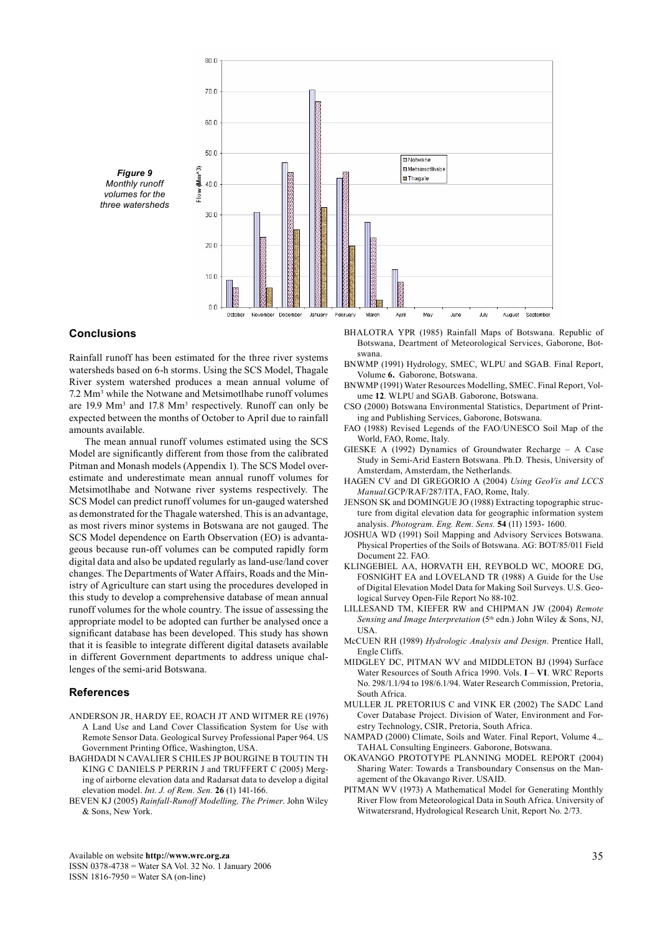

**Conclusions**

Rainfall runoff has been estimated for the three river systems watersheds based on 6-h storms. Using the SCS Model, Thagale River system watershed produces a mean annual volume of 7.2 Mm3 while the Notwane and Metsimotlhabe runoff volumes are  $19.9 \text{ Mm}^3$  and  $17.8 \text{ Mm}^3$  respectively. Runoff can only be expected between the months of October to April due to rainfall amounts available.

 The mean annual runoff volumes estimated using the SCS Model are significantly different from those from the calibrated Pitman and Monash models (Appendix 1). The SCS Model overestimate and underestimate mean annual runoff volumes for Metsimotlhabe and Notwane river systems respectively. The SCS Model can predict runoff volumes for un-gauged watershed as demonstrated for the Thagale watershed. This is an advantage, as most rivers minor systems in Botswana are not gauged. The SCS Model dependence on Earth Observation (EO) is advantageous because run-off volumes can be computed rapidly form digital data and also be updated regularly as land-use/land cover changes. The Departments of Water Affairs, Roads and the Ministry of Agriculture can start using the procedures developed in this study to develop a comprehensive database of mean annual runoff volumes for the whole country. The issue of assessing the appropriate model to be adopted can further be analysed once a significant database has been developed. This study has shown that it is feasible to integrate different digital datasets available in different Government departments to address unique challenges of the semi-arid Botswana.

#### **References**

- ANDERSON JR, HARDY EE, ROACH JT AND WITMER RE (1976) A Land Use and Land Cover Classification System for Use with Remote Sensor Data. Geological Survey Professional Paper 964. US Government Printing Office, Washington, USA.
- BAGHDADI N CAVALIER S CHILES JP BOURGINE B TOUTIN TH KING C DANIELS P PERRIN J and TRUFFERT C (2005) Merging of airborne elevation data and Radarsat data to develop a digital elevation model. *Int. J. of Rem. Sen.* **26** (1) 141-166.
- BEVEN KJ (2005) *Rainfall-Runoff Modelling, The Primer*. John Wiley & Sons, New York.

BHALOTRA YPR (1985) Rainfall Maps of Botswana. Republic of Botswana, Deartment of Meteorological Services, Gaborone, Botswana.

- BNWMP (1991) Hydrology, SMEC, WLPU and SGAB. Final Report, Volume **6.** Gaborone, Botswana.
- BNWMP (1991) Water Resources Modelling, SMEC. Final Report, Volume **12**. WLPU and SGAB. Gaborone, Botswana.
- CSO (2000) Botswana Environmental Statistics, Department of Printing and Publishing Services, Gaborone, Botswana.
- FAO (1988) Revised Legends of the FAO/UNESCO Soil Map of the World, FAO, Rome, Italy.
- GIESKE A (1992) Dynamics of Groundwater Recharge A Case Study in Semi-Arid Eastern Botswana. Ph.D. Thesis, University of Amsterdam, Amsterdam, the Netherlands.
- HAGEN CV and DI GREGORIO A (2004) *Using GeoVis and LCCS Manual.*GCP/RAF/287/ITA, FAO, Rome, Italy.
- JENSON SK and DOMINGUE JO (1988) Extracting topographic structure from digital elevation data for geographic information system analysis. *Photogram. Eng. Rem. Sens.* **54** (11) 1593- 1600.
- JOSHUA WD (1991) Soil Mapping and Advisory Services Botswana. Physical Properties of the Soils of Botswana. AG: BOT/85/011 Field Document 22. FAO.
- KLINGEBIEL AA, HORVATH EH, REYBOLD WC, MOORE DG, FOSNIGHT EA and LOVELAND TR (1988) A Guide for the Use of Digital Elevation Model Data for Making Soil Surveys. U.S. Geological Survey Open-File Report No 88-102.
- LILLESAND TM, KIEFER RW and CHIPMAN JW (2004) *Remote* Sensing and Image Interpretation (5<sup>th</sup> edn.) John Wiley & Sons, NJ, USA.
- McCUEN RH (1989) *Hydrologic Analysis and Design*. Prentice Hall, Engle Cliffs.
- MIDGLEY DC, PITMAN WV and MIDDLETON BJ (1994) Surface Water Resources of South Africa 1990. Vols. **I** – **VI**. WRC Reports No. 298/1.1/94 to 198/6.1/94. Water Research Commission, Pretoria, South Africa.
- MULLER JL PRETORIUS C and VINK ER (2002) The SADC Land Cover Database Project. Division of Water, Environment and Forestry Technology, CSIR, Pretoria, South Africa.
- NAMPAD (2000) Climate, Soils and Water. Final Report, Volume 4.,. TAHAL Consulting Engineers. Gaborone, Botswana.
- OKAVANGO PROTOTYPE PLANNING MODEL REPORT (2004) Sharing Water: Towards a Transboundary Consensus on the Management of the Okavango River. USAID.
- PITMAN WV (1973) A Mathematical Model for Generating Monthly River Flow from Meteorological Data in South Africa. University of Witwatersrand, Hydrological Research Unit, Report No. 2/73.

Available on website **http://www.wrc.org.za** ISSN 0378-4738 = Water SA Vol. 32 No. 1 January 2006 ISSN 1816-7950 = Water SA (on-line)